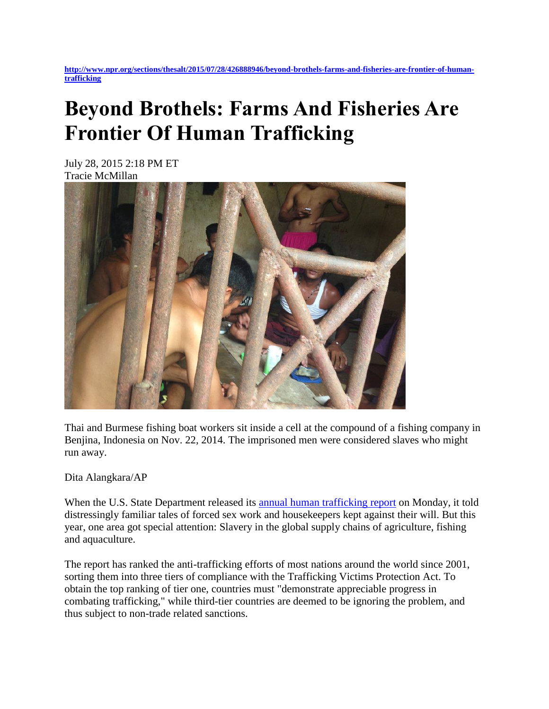**[http://www.npr.org/sections/thesalt/2015/07/28/426888946/beyond-brothels-farms-and-fisheries-are-frontier-of-human](http://www.npr.org/sections/thesalt/2015/07/28/426888946/beyond-brothels-farms-and-fisheries-are-frontier-of-human-trafficking)[trafficking](http://www.npr.org/sections/thesalt/2015/07/28/426888946/beyond-brothels-farms-and-fisheries-are-frontier-of-human-trafficking)**

## **Beyond Brothels: Farms And Fisheries Are Frontier Of Human Trafficking**

July 28, 2015 2:18 PM ET Tracie McMillan



Thai and Burmese fishing boat workers sit inside a cell at the compound of a fishing company in Benjina, Indonesia on Nov. 22, 2014. The imprisoned men were considered slaves who might run away.

Dita Alangkara/AP

When the U.S. State Department released its [annual human trafficking report](http://www.state.gov/j/tip/rls/tiprpt/) on Monday, it told distressingly familiar tales of forced sex work and housekeepers kept against their will. But this year, one area got special attention: Slavery in the global supply chains of agriculture, fishing and aquaculture.

The report has ranked the anti-trafficking efforts of most nations around the world since 2001, sorting them into three tiers of compliance with the Trafficking Victims Protection Act. To obtain the top ranking of tier one, countries must "demonstrate appreciable progress in combating trafficking," while third-tier countries are deemed to be ignoring the problem, and thus subject to non-trade related sanctions.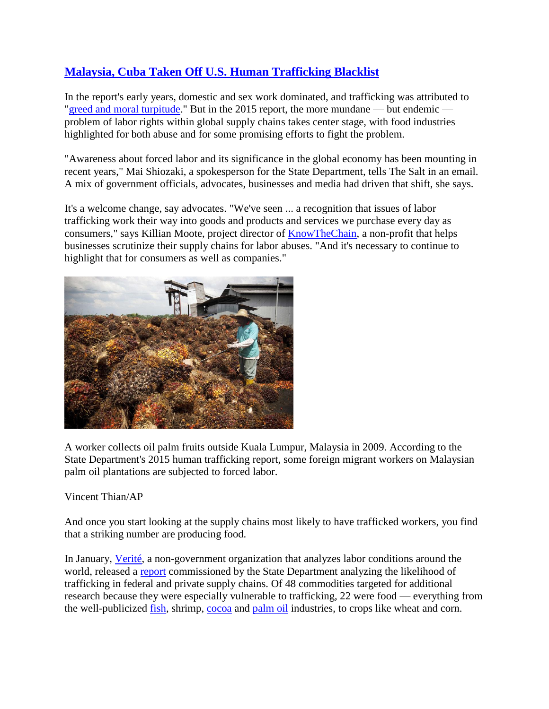## **[Malaysia, Cuba Taken Off U.S. Human Trafficking Blacklist](http://www.npr.org/sections/thetwo-way/2015/07/27/426760738/malaysia-cuba-taken-off-u-s-human-trafficking-blacklist)**

In the report's early years, domestic and sex work dominated, and trafficking was attributed to ["greed and moral turpitude.](http://www.state.gov/j/tip/rls/tiprpt/2001/3929.htm)" But in the 2015 report, the more mundane — but endemic problem of labor rights within global supply chains takes center stage, with food industries highlighted for both abuse and for some promising efforts to fight the problem.

"Awareness about forced labor and its significance in the global economy has been mounting in recent years," Mai Shiozaki, a spokesperson for the State Department, tells The Salt in an email. A mix of government officials, advocates, businesses and media had driven that shift, she says.

It's a welcome change, say advocates. "We've seen ... a recognition that issues of labor trafficking work their way into goods and products and services we purchase every day as consumers," says Killian Moote, project director of [KnowTheChain,](http://www.knowthechain.org/) a non-profit that helps businesses scrutinize their supply chains for labor abuses. "And it's necessary to continue to highlight that for consumers as well as companies."



A worker collects oil palm fruits outside Kuala Lumpur, Malaysia in 2009. According to the State Department's 2015 human trafficking report, some foreign migrant workers on Malaysian palm oil plantations are subjected to forced labor.

Vincent Thian/AP

And once you start looking at the supply chains most likely to have trafficked workers, you find that a striking number are producing food.

In January, [Verité,](http://verite.org/About-Us) a non-government organization that analyzes labor conditions around the world, released a [report](http://verite.org/sites/default/files/images/Verite-Executive_Order_13627.pdf) commissioned by the State Department analyzing the likelihood of trafficking in federal and private supply chains. Of 48 commodities targeted for additional research because they were especially vulnerable to trafficking, 22 were food — everything from the well-publicized [fish,](http://www.npr.org/sections/thesalt/2015/03/27/395589154/was-your-seafood-caught-by-slaves-ap-uncovers-unsavory-trade) shrimp, [cocoa](http://www.npr.org/sections/thesalt/2011/11/29/142891462/nestle-to-investigate-child-labor-on-its-cocoa-farms) and [palm oil](http://www.npr.org/sections/thesalt/2014/02/20/280257631/how-tracing-the-oil-in-your-pop-tarts-may-help-save-rainforests) industries, to crops like wheat and corn.